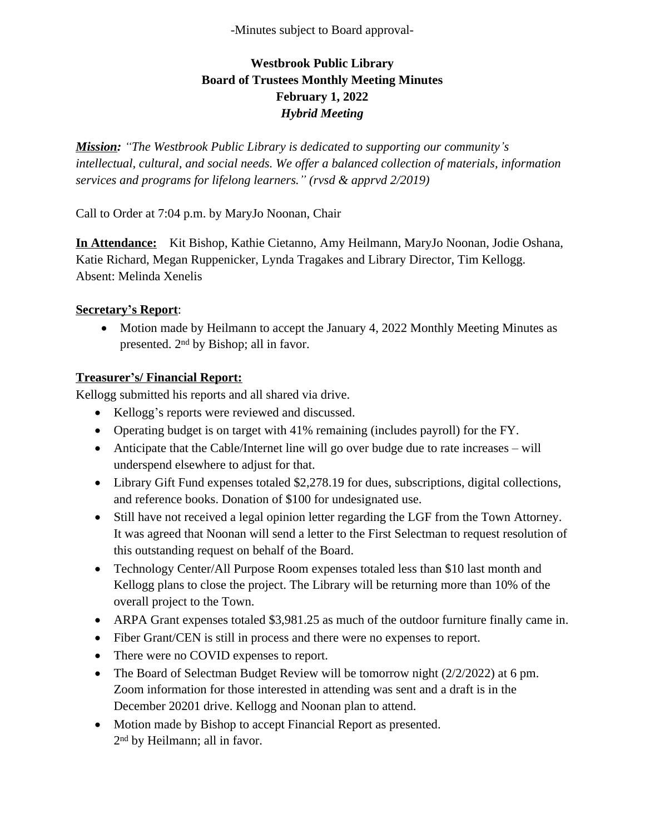-Minutes subject to Board approval-

# **Westbrook Public Library Board of Trustees Monthly Meeting Minutes February 1, 2022** *Hybrid Meeting*

*Mission: "The Westbrook Public Library is dedicated to supporting our community's intellectual, cultural, and social needs. We offer a balanced collection of materials, information services and programs for lifelong learners." (rvsd & apprvd 2/2019)*

Call to Order at 7:04 p.m. by MaryJo Noonan, Chair

**In Attendance:** Kit Bishop, Kathie Cietanno, Amy Heilmann, MaryJo Noonan, Jodie Oshana, Katie Richard, Megan Ruppenicker, Lynda Tragakes and Library Director, Tim Kellogg. Absent: Melinda Xenelis

#### **Secretary's Report**:

• Motion made by Heilmann to accept the January 4, 2022 Monthly Meeting Minutes as presented. 2nd by Bishop; all in favor.

#### **Treasurer's/ Financial Report:**

Kellogg submitted his reports and all shared via drive.

- Kellogg's reports were reviewed and discussed.
- Operating budget is on target with 41% remaining (includes payroll) for the FY.
- Anticipate that the Cable/Internet line will go over budge due to rate increases will underspend elsewhere to adjust for that.
- Library Gift Fund expenses totaled \$2,278.19 for dues, subscriptions, digital collections, and reference books. Donation of \$100 for undesignated use.
- Still have not received a legal opinion letter regarding the LGF from the Town Attorney. It was agreed that Noonan will send a letter to the First Selectman to request resolution of this outstanding request on behalf of the Board.
- Technology Center/All Purpose Room expenses totaled less than \$10 last month and Kellogg plans to close the project. The Library will be returning more than 10% of the overall project to the Town.
- ARPA Grant expenses totaled \$3,981.25 as much of the outdoor furniture finally came in.
- Fiber Grant/CEN is still in process and there were no expenses to report.
- There were no COVID expenses to report.
- The Board of Selectman Budget Review will be tomorrow night (2/2/2022) at 6 pm. Zoom information for those interested in attending was sent and a draft is in the December 20201 drive. Kellogg and Noonan plan to attend.
- Motion made by Bishop to accept Financial Report as presented. 2 nd by Heilmann; all in favor.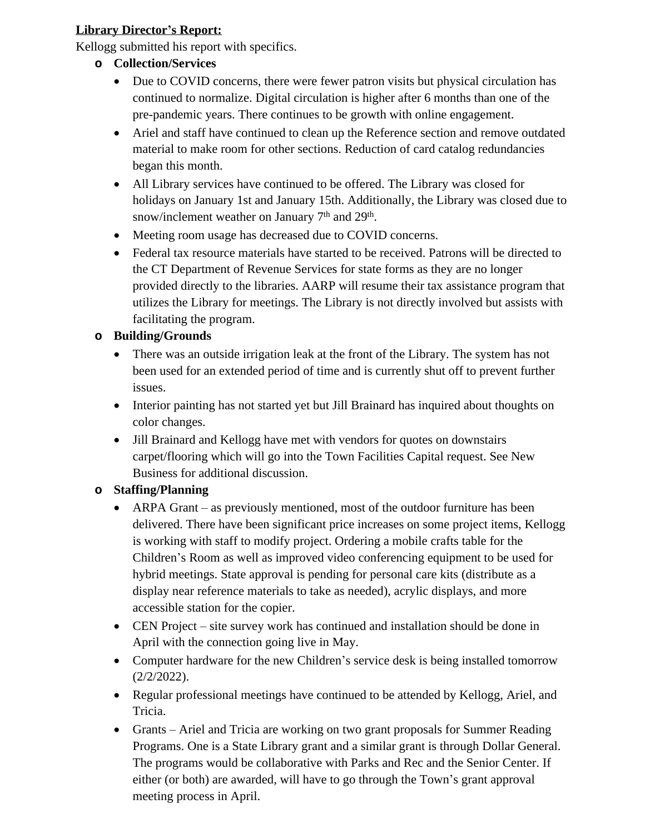## **Library Director's Report:**

Kellogg submitted his report with specifics.

- **o Collection/Services**
	- Due to COVID concerns, there were fewer patron visits but physical circulation has continued to normalize. Digital circulation is higher after 6 months than one of the pre-pandemic years. There continues to be growth with online engagement.
	- Ariel and staff have continued to clean up the Reference section and remove outdated material to make room for other sections. Reduction of card catalog redundancies began this month.
	- All Library services have continued to be offered. The Library was closed for holidays on January 1st and January 15th. Additionally, the Library was closed due to snow/inclement weather on January  $7<sup>th</sup>$  and  $29<sup>th</sup>$ .
	- Meeting room usage has decreased due to COVID concerns.
	- Federal tax resource materials have started to be received. Patrons will be directed to the CT Department of Revenue Services for state forms as they are no longer provided directly to the libraries. AARP will resume their tax assistance program that utilizes the Library for meetings. The Library is not directly involved but assists with facilitating the program.

## **o Building/Grounds**

- There was an outside irrigation leak at the front of the Library. The system has not been used for an extended period of time and is currently shut off to prevent further issues.
- Interior painting has not started yet but Jill Brainard has inquired about thoughts on color changes.
- Jill Brainard and Kellogg have met with vendors for quotes on downstairs carpet/flooring which will go into the Town Facilities Capital request. See New Business for additional discussion.

# **o Staffing/Planning**

- ARPA Grant as previously mentioned, most of the outdoor furniture has been delivered. There have been significant price increases on some project items, Kellogg is working with staff to modify project. Ordering a mobile crafts table for the Children's Room as well as improved video conferencing equipment to be used for hybrid meetings. State approval is pending for personal care kits (distribute as a display near reference materials to take as needed), acrylic displays, and more accessible station for the copier.
- CEN Project site survey work has continued and installation should be done in April with the connection going live in May.
- Computer hardware for the new Children's service desk is being installed tomorrow (2/2/2022).
- Regular professional meetings have continued to be attended by Kellogg, Ariel, and Tricia.
- Grants Ariel and Tricia are working on two grant proposals for Summer Reading Programs. One is a State Library grant and a similar grant is through Dollar General. The programs would be collaborative with Parks and Rec and the Senior Center. If either (or both) are awarded, will have to go through the Town's grant approval meeting process in April.